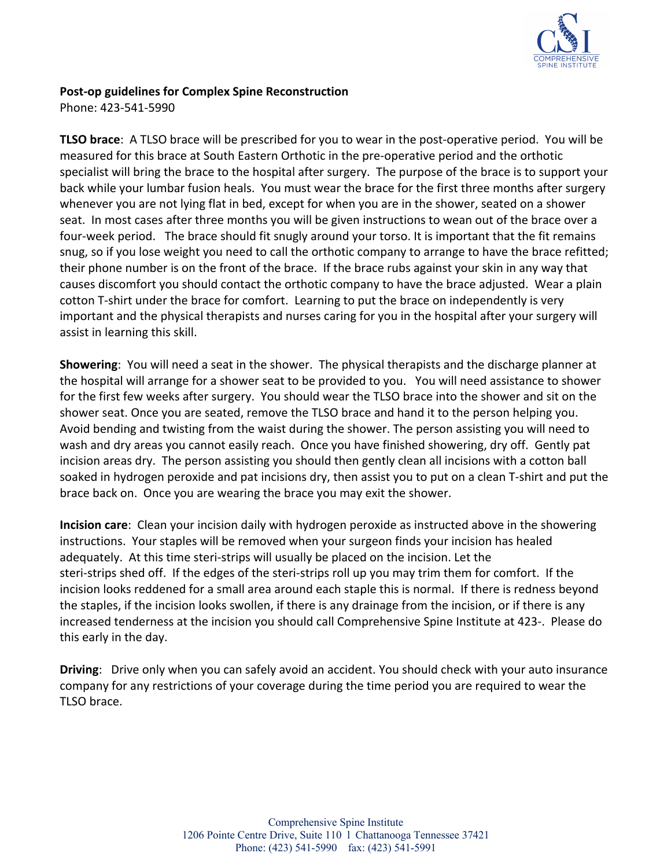

Phone: 423-541-5990

**TLSO brace**: A TLSO brace will be prescribed for you to wear in the post-operative period. You will be measured for this brace at South Eastern Orthotic in the pre-operative period and the orthotic specialist will bring the brace to the hospital after surgery. The purpose of the brace is to support your back while your lumbar fusion heals. You must wear the brace for the first three months after surgery whenever you are not lying flat in bed, except for when you are in the shower, seated on a shower seat. In most cases after three months you will be given instructions to wean out of the brace over a four-week period. The brace should fit snugly around your torso. It is important that the fit remains snug, so if you lose weight you need to call the orthotic company to arrange to have the brace refitted; their phone number is on the front of the brace. If the brace rubs against your skin in any way that causes discomfort you should contact the orthotic company to have the brace adjusted. Wear a plain cotton T-shirt under the brace for comfort. Learning to put the brace on independently is very important and the physical therapists and nurses caring for you in the hospital after your surgery will assist in learning this skill.

**Showering**: You will need a seat in the shower. The physical therapists and the discharge planner at the hospital will arrange for a shower seat to be provided to you. You will need assistance to shower for the first few weeks after surgery. You should wear the TLSO brace into the shower and sit on the shower seat. Once you are seated, remove the TLSO brace and hand it to the person helping you. Avoid bending and twisting from the waist during the shower. The person assisting you will need to wash and dry areas you cannot easily reach. Once you have finished showering, dry off. Gently pat incision areas dry. The person assisting you should then gently clean all incisions with a cotton ball soaked in hydrogen peroxide and pat incisions dry, then assist you to put on a clean T-shirt and put the brace back on. Once you are wearing the brace you may exit the shower.

**Incision care**: Clean your incision daily with hydrogen peroxide as instructed above in the showering instructions. Your staples will be removed when your surgeon finds your incision has healed adequately. At this time steri-strips will usually be placed on the incision. Let the steri-strips shed off. If the edges of the steri-strips roll up you may trim them for comfort. If the incision looks reddened for a small area around each staple this is normal. If there is redness beyond the staples, if the incision looks swollen, if there is any drainage from the incision, or if there is any increased tenderness at the incision you should call Comprehensive Spine Institute at 423-. Please do this early in the day.

**Driving**: Drive only when you can safely avoid an accident. You should check with your auto insurance company for any restrictions of your coverage during the time period you are required to wear the TLSO brace.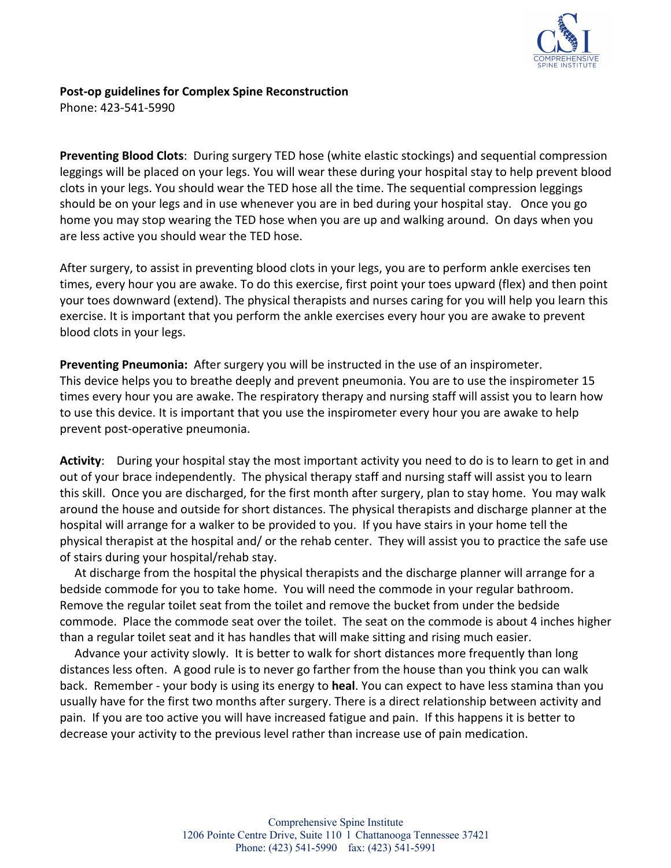

Phone: 423-541-5990

**Preventing Blood Clots**: During surgery TED hose (white elastic stockings) and sequential compression leggings will be placed on your legs. You will wear these during your hospital stay to help prevent blood clots in your legs. You should wear the TED hose all the time. The sequential compression leggings should be on your legs and in use whenever you are in bed during your hospital stay. Once you go home you may stop wearing the TED hose when you are up and walking around. On days when you are less active you should wear the TED hose.

After surgery, to assist in preventing blood clots in your legs, you are to perform ankle exercises ten times, every hour you are awake. To do this exercise, first point your toes upward (flex) and then point your toes downward (extend). The physical therapists and nurses caring for you will help you learn this exercise. It is important that you perform the ankle exercises every hour you are awake to prevent blood clots in your legs.

**Preventing Pneumonia:** After surgery you will be instructed in the use of an inspirometer. This device helps you to breathe deeply and prevent pneumonia. You are to use the inspirometer 15 times every hour you are awake. The respiratory therapy and nursing staff will assist you to learn how to use this device. It is important that you use the inspirometer every hour you are awake to help prevent post-operative pneumonia.

**Activity**: During your hospital stay the most important activity you need to do is to learn to get in and out of your brace independently. The physical therapy staff and nursing staff will assist you to learn this skill. Once you are discharged, for the first month after surgery, plan to stay home. You may walk around the house and outside for short distances. The physical therapists and discharge planner at the hospital will arrange for a walker to be provided to you. If you have stairs in your home tell the physical therapist at the hospital and/ or the rehab center. They will assist you to practice the safe use of stairs during your hospital/rehab stay.

 At discharge from the hospital the physical therapists and the discharge planner will arrange for a bedside commode for you to take home. You will need the commode in your regular bathroom. Remove the regular toilet seat from the toilet and remove the bucket from under the bedside commode. Place the commode seat over the toilet. The seat on the commode is about 4 inches higher than a regular toilet seat and it has handles that will make sitting and rising much easier.

 Advance your activity slowly. It is better to walk for short distances more frequently than long distances less often. A good rule is to never go farther from the house than you think you can walk back. Remember - your body is using its energy to **heal**. You can expect to have less stamina than you usually have for the first two months after surgery. There is a direct relationship between activity and pain. If you are too active you will have increased fatigue and pain. If this happens it is better to decrease your activity to the previous level rather than increase use of pain medication.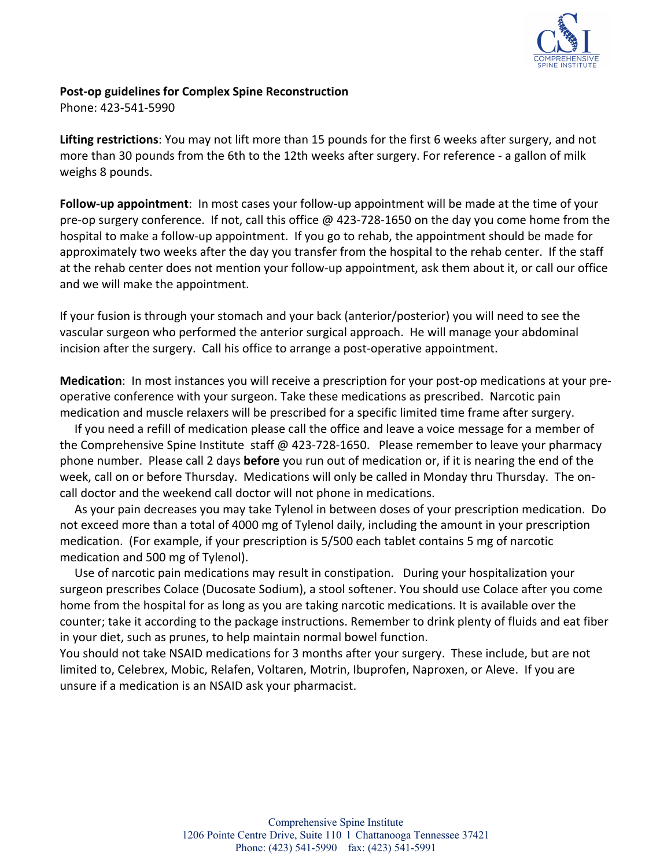

Phone: 423-541-5990

**Lifting restrictions**: You may not lift more than 15 pounds for the first 6 weeks after surgery, and not more than 30 pounds from the 6th to the 12th weeks after surgery. For reference - a gallon of milk weighs 8 pounds.

**Follow-up appointment**: In most cases your follow-up appointment will be made at the time of your pre-op surgery conference. If not, call this office @ 423-728-1650 on the day you come home from the hospital to make a follow-up appointment. If you go to rehab, the appointment should be made for approximately two weeks after the day you transfer from the hospital to the rehab center. If the staff at the rehab center does not mention your follow-up appointment, ask them about it, or call our office and we will make the appointment.

If your fusion is through your stomach and your back (anterior/posterior) you will need to see the vascular surgeon who performed the anterior surgical approach. He will manage your abdominal incision after the surgery. Call his office to arrange a post-operative appointment.

**Medication**: In most instances you will receive a prescription for your post-op medications at your preoperative conference with your surgeon. Take these medications as prescribed. Narcotic pain medication and muscle relaxers will be prescribed for a specific limited time frame after surgery.

 If you need a refill of medication please call the office and leave a voice message for a member of the Comprehensive Spine Institute staff @ 423-728-1650. Please remember to leave your pharmacy phone number. Please call 2 days **before** you run out of medication or, if it is nearing the end of the week, call on or before Thursday. Medications will only be called in Monday thru Thursday. The oncall doctor and the weekend call doctor will not phone in medications.

 As your pain decreases you may take Tylenol in between doses of your prescription medication. Do not exceed more than a total of 4000 mg of Tylenol daily, including the amount in your prescription medication. (For example, if your prescription is 5/500 each tablet contains 5 mg of narcotic medication and 500 mg of Tylenol).

 Use of narcotic pain medications may result in constipation. During your hospitalization your surgeon prescribes Colace (Ducosate Sodium), a stool softener. You should use Colace after you come home from the hospital for as long as you are taking narcotic medications. It is available over the counter; take it according to the package instructions. Remember to drink plenty of fluids and eat fiber in your diet, such as prunes, to help maintain normal bowel function.

You should not take NSAID medications for 3 months after your surgery. These include, but are not limited to, Celebrex, Mobic, Relafen, Voltaren, Motrin, Ibuprofen, Naproxen, or Aleve. If you are unsure if a medication is an NSAID ask your pharmacist.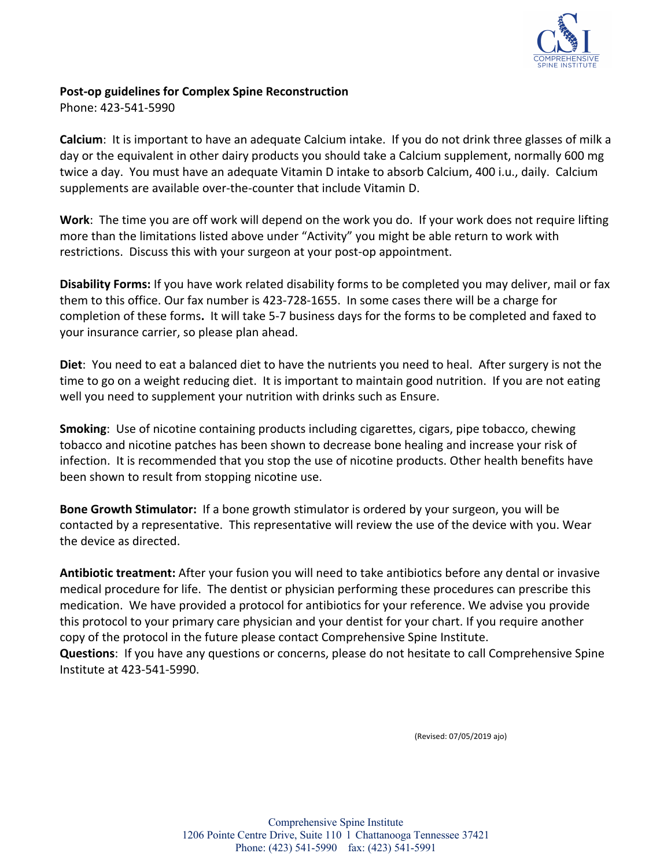

Phone: 423-541-5990

**Calcium**: It is important to have an adequate Calcium intake. If you do not drink three glasses of milk a day or the equivalent in other dairy products you should take a Calcium supplement, normally 600 mg twice a day. You must have an adequate Vitamin D intake to absorb Calcium, 400 i.u., daily. Calcium supplements are available over-the-counter that include Vitamin D.

**Work**: The time you are off work will depend on the work you do. If your work does not require lifting more than the limitations listed above under "Activity" you might be able return to work with restrictions. Discuss this with your surgeon at your post-op appointment.

**Disability Forms:** If you have work related disability forms to be completed you may deliver, mail or fax them to this office. Our fax number is 423-728-1655. In some cases there will be a charge for completion of these forms**.** It will take 5-7 business days for the forms to be completed and faxed to your insurance carrier, so please plan ahead.

**Diet**: You need to eat a balanced diet to have the nutrients you need to heal. After surgery is not the time to go on a weight reducing diet. It is important to maintain good nutrition. If you are not eating well you need to supplement your nutrition with drinks such as Ensure.

**Smoking**: Use of nicotine containing products including cigarettes, cigars, pipe tobacco, chewing tobacco and nicotine patches has been shown to decrease bone healing and increase your risk of infection. It is recommended that you stop the use of nicotine products. Other health benefits have been shown to result from stopping nicotine use.

**Bone Growth Stimulator:** If a bone growth stimulator is ordered by your surgeon, you will be contacted by a representative. This representative will review the use of the device with you. Wear the device as directed.

**Antibiotic treatment:** After your fusion you will need to take antibiotics before any dental or invasive medical procedure for life. The dentist or physician performing these procedures can prescribe this medication. We have provided a protocol for antibiotics for your reference. We advise you provide this protocol to your primary care physician and your dentist for your chart. If you require another copy of the protocol in the future please contact Comprehensive Spine Institute. **Questions**: If you have any questions or concerns, please do not hesitate to call Comprehensive Spine Institute at 423-541-5990.

(Revised: 07/05/2019 ajo)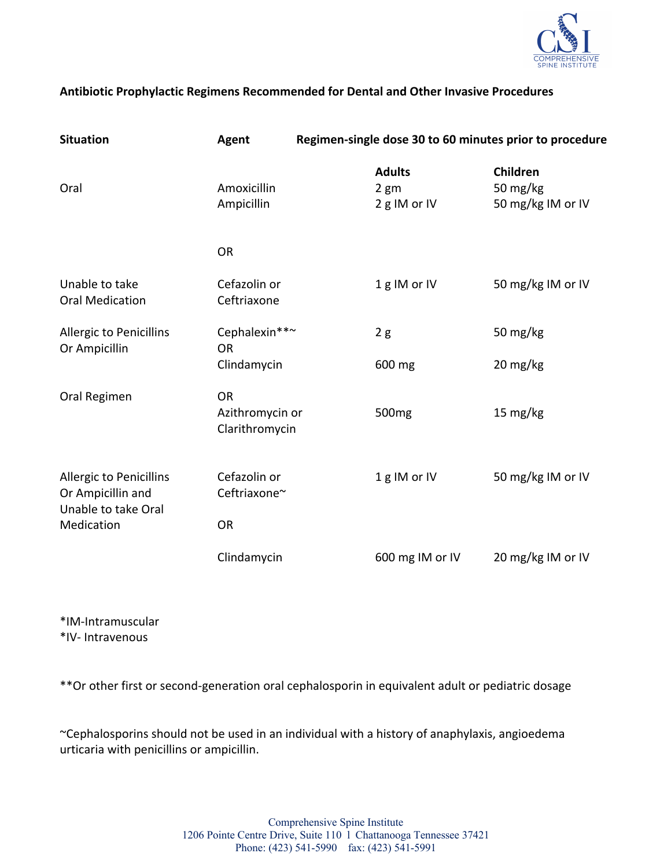

#### **Antibiotic Prophylactic Regimens Recommended for Dental and Other Invasive Procedures**

| <b>Situation</b>                                                                         | Agent                                          | Regimen-single dose 30 to 60 minutes prior to procedure |                                           |
|------------------------------------------------------------------------------------------|------------------------------------------------|---------------------------------------------------------|-------------------------------------------|
| Oral                                                                                     | Amoxicillin<br>Ampicillin                      | <b>Adults</b><br>$2 \text{ gm}$<br>2 g IM or IV         | Children<br>50 mg/kg<br>50 mg/kg IM or IV |
|                                                                                          | <b>OR</b>                                      |                                                         |                                           |
| Unable to take<br><b>Oral Medication</b>                                                 | Cefazolin or<br>Ceftriaxone                    | 1g IM or IV                                             | 50 mg/kg IM or IV                         |
| <b>Allergic to Penicillins</b><br>Or Ampicillin                                          | Cephalexin**~<br><b>OR</b>                     | 2g                                                      | 50 mg/kg                                  |
|                                                                                          | Clindamycin                                    | 600 mg                                                  | 20 mg/kg                                  |
| Oral Regimen                                                                             | <b>OR</b><br>Azithromycin or<br>Clarithromycin | 500 <sub>mg</sub>                                       | 15 mg/kg                                  |
| <b>Allergic to Penicillins</b><br>Or Ampicillin and<br>Unable to take Oral<br>Medication | Cefazolin or<br>Ceftriaxone~                   | 1g IM or IV                                             | 50 mg/kg IM or IV                         |
|                                                                                          | <b>OR</b>                                      |                                                         |                                           |
|                                                                                          | Clindamycin                                    | 600 mg IM or IV                                         | 20 mg/kg IM or IV                         |

\*IM-Intramuscular \*IV- Intravenous

\*\*Or other first or second-generation oral cephalosporin in equivalent adult or pediatric dosage

~Cephalosporins should not be used in an individual with a history of anaphylaxis, angioedema urticaria with penicillins or ampicillin.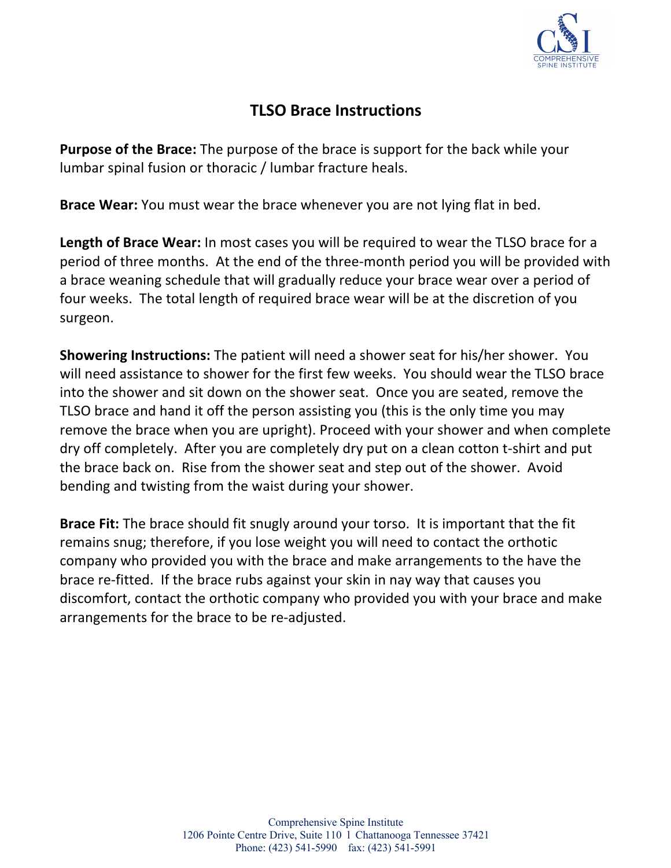

### **TLSO Brace Instructions**

**Purpose of the Brace:** The purpose of the brace is support for the back while your lumbar spinal fusion or thoracic / lumbar fracture heals.

**Brace Wear:** You must wear the brace whenever you are not lying flat in bed.

**Length of Brace Wear:** In most cases you will be required to wear the TLSO brace for a period of three months. At the end of the three-month period you will be provided with a brace weaning schedule that will gradually reduce your brace wear over a period of four weeks. The total length of required brace wear will be at the discretion of you surgeon.

**Showering Instructions:** The patient will need a shower seat for his/her shower. You will need assistance to shower for the first few weeks. You should wear the TLSO brace into the shower and sit down on the shower seat. Once you are seated, remove the TLSO brace and hand it off the person assisting you (this is the only time you may remove the brace when you are upright). Proceed with your shower and when complete dry off completely. After you are completely dry put on a clean cotton t-shirt and put the brace back on. Rise from the shower seat and step out of the shower. Avoid bending and twisting from the waist during your shower.

**Brace Fit:** The brace should fit snugly around your torso. It is important that the fit remains snug; therefore, if you lose weight you will need to contact the orthotic company who provided you with the brace and make arrangements to the have the brace re-fitted. If the brace rubs against your skin in nay way that causes you discomfort, contact the orthotic company who provided you with your brace and make arrangements for the brace to be re-adjusted.